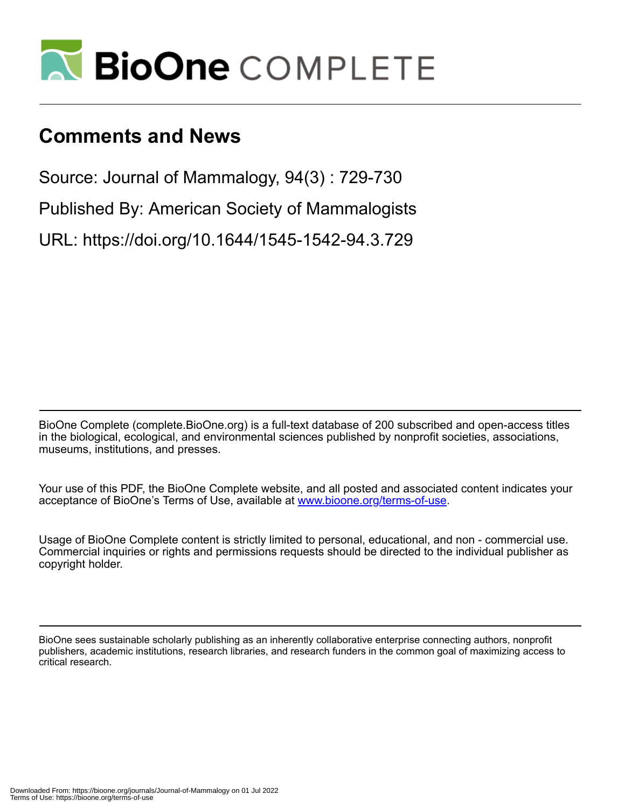

# **Comments and News**

Source: Journal of Mammalogy, 94(3) : 729-730

Published By: American Society of Mammalogists

URL: https://doi.org/10.1644/1545-1542-94.3.729

BioOne Complete (complete.BioOne.org) is a full-text database of 200 subscribed and open-access titles in the biological, ecological, and environmental sciences published by nonprofit societies, associations, museums, institutions, and presses.

Your use of this PDF, the BioOne Complete website, and all posted and associated content indicates your acceptance of BioOne's Terms of Use, available at www.bioone.org/terms-of-use.

Usage of BioOne Complete content is strictly limited to personal, educational, and non - commercial use. Commercial inquiries or rights and permissions requests should be directed to the individual publisher as copyright holder.

BioOne sees sustainable scholarly publishing as an inherently collaborative enterprise connecting authors, nonprofit publishers, academic institutions, research libraries, and research funders in the common goal of maximizing access to critical research.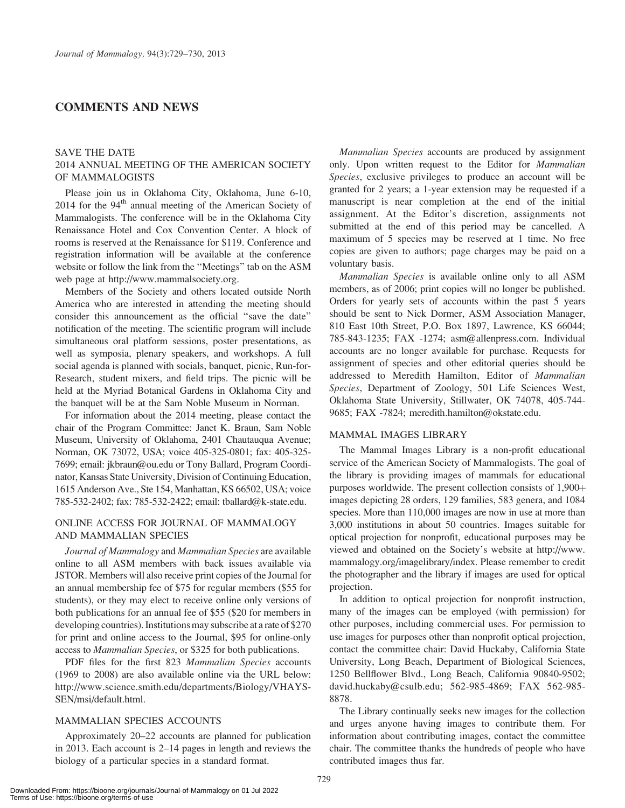# COMMENTS AND NEWS

## SAVE THE DATE 2014 ANNUAL MEETING OF THE AMERICAN SOCIETY OF MAMMALOGISTS

Please join us in Oklahoma City, Oklahoma, June 6-10,  $2014$  for the  $94<sup>th</sup>$  annual meeting of the American Society of Mammalogists. The conference will be in the Oklahoma City Renaissance Hotel and Cox Convention Center. A block of rooms is reserved at the Renaissance for \$119. Conference and registration information will be available at the conference website or follow the link from the ''Meetings'' tab on the ASM web page at http://www.mammalsociety.org.

Members of the Society and others located outside North America who are interested in attending the meeting should consider this announcement as the official ''save the date'' notification of the meeting. The scientific program will include simultaneous oral platform sessions, poster presentations, as well as symposia, plenary speakers, and workshops. A full social agenda is planned with socials, banquet, picnic, Run-for-Research, student mixers, and field trips. The picnic will be held at the Myriad Botanical Gardens in Oklahoma City and the banquet will be at the Sam Noble Museum in Norman.

For information about the 2014 meeting, please contact the chair of the Program Committee: Janet K. Braun, Sam Noble Museum, University of Oklahoma, 2401 Chautauqua Avenue; Norman, OK 73072, USA; voice 405-325-0801; fax: 405-325- 7699; email: jkbraun@ou.edu or Tony Ballard, Program Coordinator, Kansas State University, Division of Continuing Education, 1615 Anderson Ave., Ste 154, Manhattan, KS 66502, USA; voice 785-532-2402; fax: 785-532-2422; email: tballard@k-state.edu.

# ONLINE ACCESS FOR JOURNAL OF MAMMALOGY AND MAMMALIAN SPECIES

Journal of Mammalogy and Mammalian Species are available online to all ASM members with back issues available via JSTOR. Members will also receive print copies of the Journal for an annual membership fee of \$75 for regular members (\$55 for students), or they may elect to receive online only versions of both publications for an annual fee of \$55 (\$20 for members in developing countries). Institutions may subscribe at a rate of \$270 for print and online access to the Journal, \$95 for online-only access to Mammalian Species, or \$325 for both publications.

PDF files for the first 823 Mammalian Species accounts (1969 to 2008) are also available online via the URL below: http://www.science.smith.edu/departments/Biology/VHAYS-SEN/msi/default.html.

# MAMMALIAN SPECIES ACCOUNTS

Approximately 20–22 accounts are planned for publication in 2013. Each account is 2–14 pages in length and reviews the biology of a particular species in a standard format.

Mammalian Species accounts are produced by assignment only. Upon written request to the Editor for Mammalian Species, exclusive privileges to produce an account will be granted for 2 years; a 1-year extension may be requested if a manuscript is near completion at the end of the initial assignment. At the Editor's discretion, assignments not submitted at the end of this period may be cancelled. A maximum of 5 species may be reserved at 1 time. No free copies are given to authors; page charges may be paid on a voluntary basis.

Mammalian Species is available online only to all ASM members, as of 2006; print copies will no longer be published. Orders for yearly sets of accounts within the past 5 years should be sent to Nick Dormer, ASM Association Manager, 810 East 10th Street, P.O. Box 1897, Lawrence, KS 66044; 785-843-1235; FAX -1274; asm@allenpress.com. Individual accounts are no longer available for purchase. Requests for assignment of species and other editorial queries should be addressed to Meredith Hamilton, Editor of Mammalian Species, Department of Zoology, 501 Life Sciences West, Oklahoma State University, Stillwater, OK 74078, 405-744- 9685; FAX -7824; meredith.hamilton@okstate.edu.

#### MAMMAL IMAGES LIBRARY

The Mammal Images Library is a non-profit educational service of the American Society of Mammalogists. The goal of the library is providing images of mammals for educational purposes worldwide. The present collection consists of  $1,900 +$ images depicting 28 orders, 129 families, 583 genera, and 1084 species. More than 110,000 images are now in use at more than 3,000 institutions in about 50 countries. Images suitable for optical projection for nonprofit, educational purposes may be viewed and obtained on the Society's website at http://www. mammalogy.org/imagelibrary/index. Please remember to credit the photographer and the library if images are used for optical projection.

In addition to optical projection for nonprofit instruction, many of the images can be employed (with permission) for other purposes, including commercial uses. For permission to use images for purposes other than nonprofit optical projection, contact the committee chair: David Huckaby, California State University, Long Beach, Department of Biological Sciences, 1250 Bellflower Blvd., Long Beach, California 90840-9502; david.huckaby@csulb.edu; 562-985-4869; FAX 562-985- 8878.

The Library continually seeks new images for the collection and urges anyone having images to contribute them. For information about contributing images, contact the committee chair. The committee thanks the hundreds of people who have contributed images thus far.